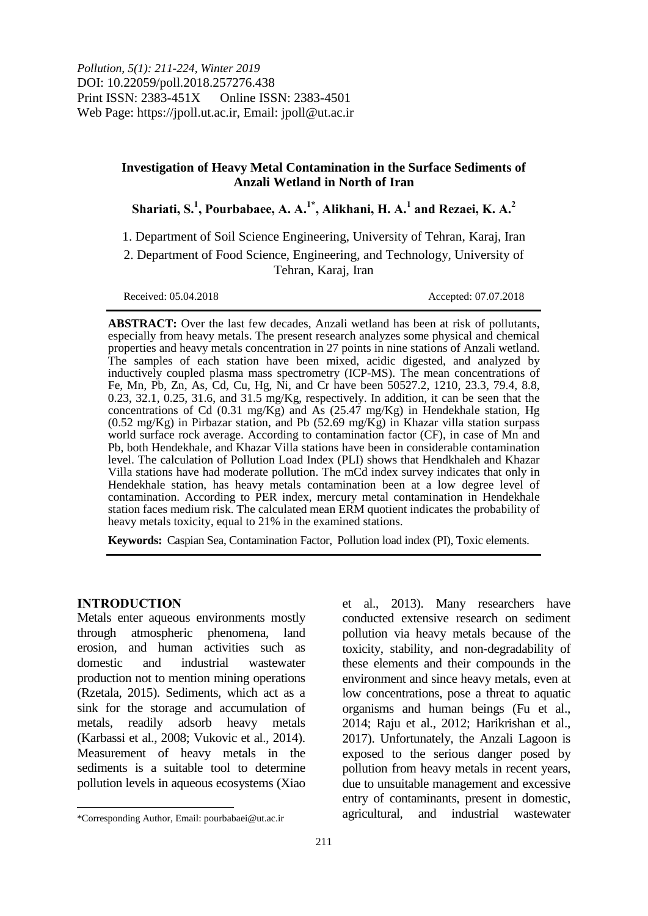# **Investigation of Heavy Metal Contamination in the Surface Sediments of Anzali Wetland in North of Iran**

**Shariati, S.<sup>1</sup> , Pourbabaee, A. A.1\* , Alikhani, H. A.<sup>1</sup> and Rezaei, K. A.<sup>2</sup>**

1. Department of Soil Science Engineering, University of Tehran, Karaj, Iran

2. Department of Food Science, Engineering, and Technology, University of Tehran, Karaj, Iran

Received: 05.04.2018 Accepted: 07.07.2018

**ABSTRACT:** Over the last few decades, Anzali wetland has been at risk of pollutants, especially from heavy metals. The present research analyzes some physical and chemical properties and heavy metals concentration in 27 points in nine stations of Anzali wetland. The samples of each station have been mixed, acidic digested, and analyzed by inductively coupled plasma mass spectrometry (ICP-MS). The mean concentrations of Fe, Mn, Pb, Zn, As, Cd, Cu, Hg, Ni, and Cr have been 50527.2, 1210, 23.3, 79.4, 8.8, 0.23, 32.1, 0.25, 31.6, and 31.5 mg/Kg, respectively. In addition, it can be seen that the concentrations of Cd  $(0.31 \text{ mg/Kg})$  and As  $(25.47 \text{ mg/Kg})$  in Hendekhale station, Hg (0.52 mg/Kg) in Pirbazar station, and Pb (52.69 mg/Kg) in Khazar villa station surpass world surface rock average. According to contamination factor (CF), in case of Mn and Pb, both Hendekhale, and Khazar Villa stations have been in considerable contamination level. The calculation of Pollution Load Index (PLI) shows that Hendkhaleh and Khazar Villa stations have had moderate pollution. The mCd index survey indicates that only in Hendekhale station, has heavy metals contamination been at a low degree level of contamination. According to PER index, mercury metal contamination in Hendekhale station faces medium risk. The calculated mean ERM quotient indicates the probability of heavy metals toxicity, equal to 21% in the examined stations.

**Keywords:** Caspian Sea, Contamination Factor, Pollution load index (PI), Toxic elements.

## **INTRODUCTION**

 $\overline{\phantom{a}}$ 

Metals enter aqueous environments mostly through atmospheric phenomena, land erosion, and human activities such as domestic and industrial wastewater production not to mention mining operations (Rzetala, 2015). Sediments, which act as a sink for the storage and accumulation of metals, readily adsorb heavy metals (Karbassi et al., 2008; Vukovic et al., 2014). Measurement of heavy metals in the sediments is a suitable tool to determine pollution levels in aqueous ecosystems (Xiao

et al., 2013). Many researchers have conducted extensive research on sediment pollution via heavy metals because of the toxicity, stability, and non-degradability of these elements and their compounds in the environment and since heavy metals, even at low concentrations, pose a threat to aquatic organisms and human beings (Fu et al., 2014; Raju et al., 2012; Harikrishan et al., 2017). Unfortunately, the Anzali Lagoon is exposed to the serious danger posed by pollution from heavy metals in recent years, due to unsuitable management and excessive entry of contaminants, present in domestic, agricultural, and industrial wastewater

<sup>\*</sup>Corresponding Author, Email: pourbabaei@ut.ac.ir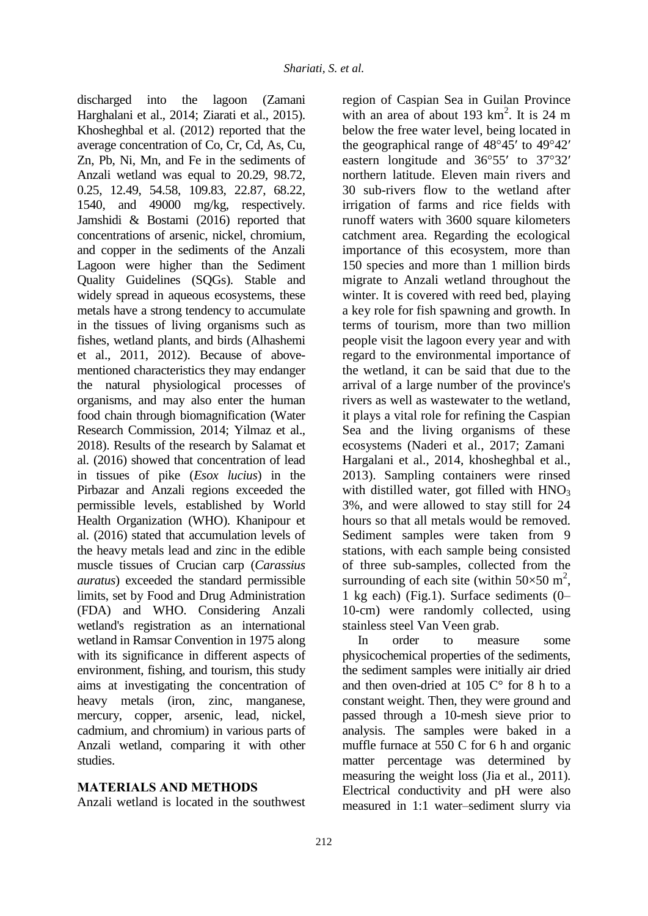discharged into the lagoon (Zamani Harghalani et al., 2014; Ziarati et al., 2015). Khosheghbal et al. (2012) reported that the average concentration of Co, Cr, Cd, As, Cu, Zn, Pb, Ni, Mn, and Fe in the sediments of Anzali wetland was equal to 20.29, 98.72, 0.25, 12.49, 54.58, 109.83, 22.87, 68.22, 1540, and 49000 mg/kg, respectively. Jamshidi & Bostami (2016) reported that concentrations of arsenic, nickel, chromium, and copper in the sediments of the Anzali Lagoon were higher than the Sediment Quality Guidelines (SQGs). Stable and widely spread in aqueous ecosystems, these metals have a strong tendency to accumulate in the tissues of living organisms such as fishes, wetland plants, and birds (Alhashemi et al., 2011, 2012). Because of abovementioned characteristics they may endanger the natural physiological processes of organisms, and may also enter the human food chain through biomagnification (Water Research Commission, 2014; Yilmaz et al., 2018). Results of the research by Salamat et al. (2016) showed that concentration of lead in tissues of pike (*Esox lucius*) in the Pirbazar and Anzali regions exceeded the permissible levels, established by World Health Organization (WHO). Khanipour et al. (2016) stated that accumulation levels of the heavy metals lead and zinc in the edible muscle tissues of Crucian carp (*Carassius auratus*) exceeded the standard permissible limits, set by Food and Drug Administration (FDA) and WHO. Considering Anzali wetland's registration as an international wetland in Ramsar Convention in 1975 along with its significance in different aspects of environment, fishing, and tourism, this study aims at investigating the concentration of heavy metals (iron, zinc, manganese, mercury, copper, arsenic, lead, nickel, cadmium, and chromium) in various parts of Anzali wetland, comparing it with other studies.

# **MATERIALS AND METHODS**

Anzali wetland is located in the southwest

region of Caspian Sea in Guilan Province with an area of about 193  $\text{km}^2$ . It is 24 m below the free water level, being located in the geographical range of 48°45′ to 49°42′ eastern longitude and 36°55′ to 37°32′ northern latitude. Eleven main rivers and 30 sub-rivers flow to the wetland after irrigation of farms and rice fields with runoff waters with 3600 square kilometers catchment area. Regarding the ecological importance of this ecosystem, more than 150 species and more than 1 million birds migrate to Anzali wetland throughout the winter. It is covered with reed bed, playing a key role for fish spawning and growth. In terms of tourism, more than two million people visit the lagoon every year and with regard to the environmental importance of the wetland, it can be said that due to the arrival of a large number of the province's rivers as well as wastewater to the wetland, it plays a vital role for refining the Caspian Sea and the living organisms of these ecosystems (Naderi et al., 2017; Zamani Hargalani et al., 2014, khosheghbal et al., 2013). Sampling containers were rinsed with distilled water, got filled with  $HNO<sub>3</sub>$ 3%, and were allowed to stay still for 24 hours so that all metals would be removed. Sediment samples were taken from 9 stations, with each sample being consisted of three sub-samples, collected from the surrounding of each site (within  $50 \times 50$  m<sup>2</sup>, 1 kg each) (Fig.1). Surface sediments (0– 10-cm) were randomly collected, using stainless steel Van Veen grab.

In order to measure some physicochemical properties of the sediments, the sediment samples were initially air dried and then oven-dried at 105 C° for 8 h to a constant weight. Then, they were ground and passed through a 10-mesh sieve prior to analysis. The samples were baked in a muffle furnace at 550 C for 6 h and organic matter percentage was determined by measuring the weight loss (Jia et al., 2011). Electrical conductivity and pH were also measured in 1:1 water–sediment slurry via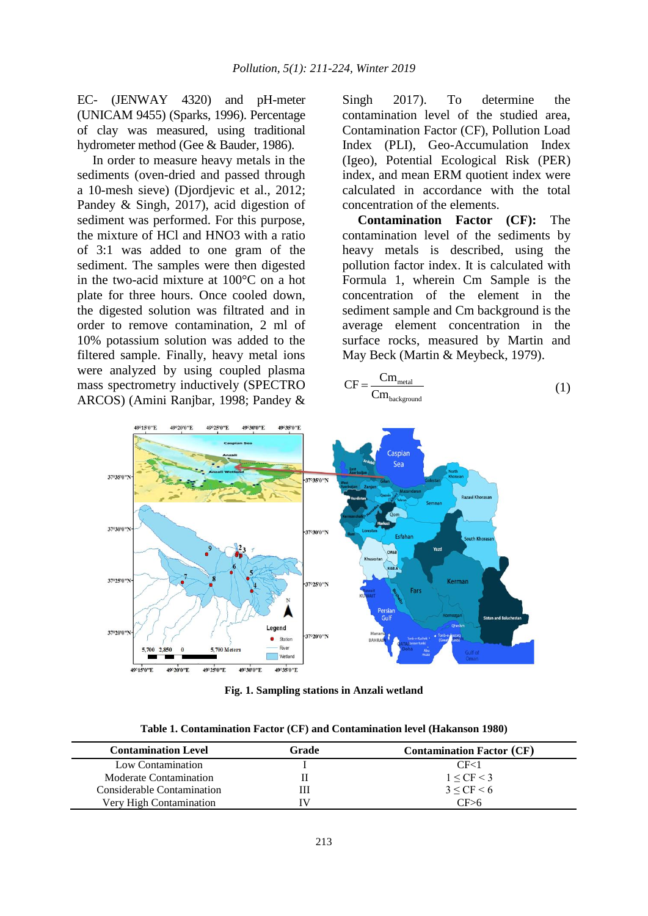EC- (JENWAY 4320) and pH-meter (UNICAM 9455) (Sparks, 1996). Percentage of clay was measured, using traditional hydrometer method (Gee & Bauder, 1986).

In order to measure heavy metals in the sediments (oven-dried and passed through a 10-mesh sieve) (Djordjevic et al., 2012; Pandey & Singh, 2017), acid digestion of sediment was performed. For this purpose, the mixture of HCl and HNO3 with a ratio of 3:1 was added to one gram of the sediment. The samples were then digested in the two-acid mixture at 100°C on a hot plate for three hours. Once cooled down, the digested solution was filtrated and in order to remove contamination, 2 ml of 10% potassium solution was added to the filtered sample. Finally, heavy metal ions were analyzed by using coupled plasma mass spectrometry inductively (SPECTRO ARCOS) (Amini Ranjbar, 1998; Pandey &

Singh 2017). To determine the contamination level of the studied area, Contamination Factor (CF), Pollution Load Index (PLI), Geo-Accumulation Index (Igeo), Potential Ecological Risk (PER) index, and mean ERM quotient index were calculated in accordance with the total concentration of the elements.

**Contamination Factor (CF):** The contamination level of the sediments by heavy metals is described, using the pollution factor index. It is calculated with Formula 1, wherein Cm Sample is the concentration of the element in the sediment sample and Cm background is the average element concentration in the surface rocks, measured by Martin and May Beck (Martin & Meybeck, 1979).

$$
CF = \frac{Cm_{\text{metal}}}{Cm_{\text{background}}}
$$
 (1)



**Fig. 1. Sampling stations in Anzali wetland**

**Table 1. Contamination Factor (CF) and Contamination level (Hakanson 1980)**

| <b>Contamination Level</b> | Grade | <b>Contamination Factor (CF)</b> |
|----------------------------|-------|----------------------------------|
| Low Contamination          |       | CF <sub>1</sub>                  |
| Moderate Contamination     |       | $1 < C$ F $<$ 3                  |
| Considerable Contamination | Ш     | 3 < CF < 6                       |
| Very High Contamination    | IV    | CF > 6                           |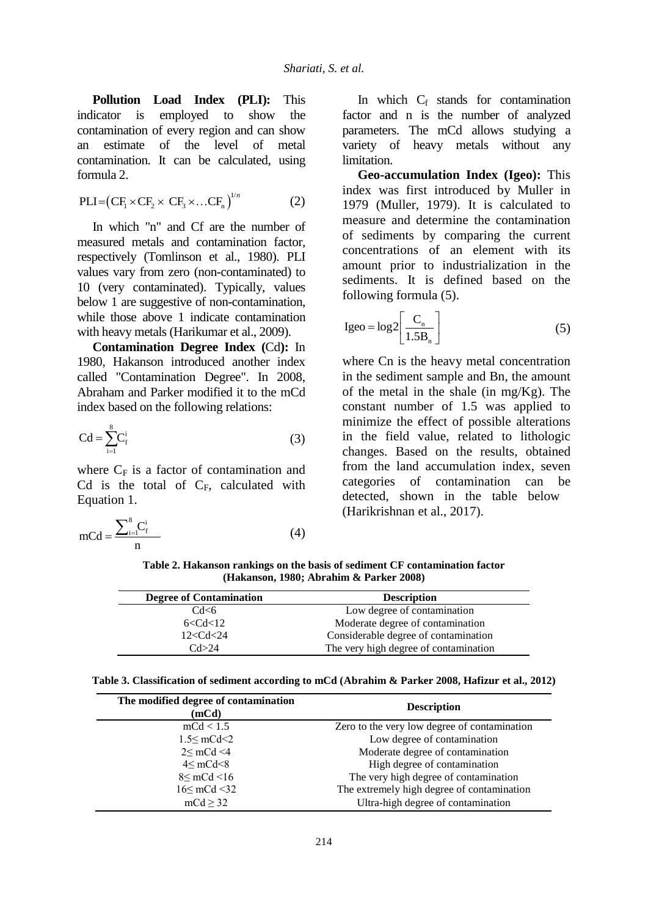**Pollution Load Index (PLI):** This indicator is employed to show the contamination of every region and can show an estimate of the level of metal contamination. It can be calculated, using formula 2.

$$
PLI = (CF_1 \times CF_2 \times CF_3 \times ... CF_n)^{1/n}
$$
 (2)

In which "n" and Cf are the number of measured metals and contamination factor, respectively (Tomlinson et al., 1980). PLI values vary from zero (non-contaminated) to 10 (very contaminated). Typically, values below 1 are suggestive of non-contamination, while those above 1 indicate contamination with heavy metals (Harikumar et al., 2009).

**Contamination Degree Index (**Cd**):** In 1980, Hakanson introduced another index called "Contamination Degree". In 2008, Abraham and Parker modified it to the mCd index based on the following relations:

$$
Cd = \sum_{i=1}^{8} C_f^i
$$
 (3)

where  $C_F$  is a factor of contamination and Cd is the total of  $C_F$ , calculated with Equation 1.

$$
mCd = \frac{\sum_{i=1}^{8} C_f^i}{n}
$$
 (4)

In which  $C_f$  stands for contamination factor and n is the number of analyzed parameters. The mCd allows studying a variety of heavy metals without any limitation.

**Geo-accumulation Index (Igeo):** This index was first introduced by Muller in 1979 (Muller, 1979). It is calculated to measure and determine the contamination of sediments by comparing the current concentrations of an element with its amount prior to industrialization in the sediments. It is defined based on the following formula (5).

$$
Igeo = log2\left[\frac{C_n}{1.5B_n}\right]
$$
 (5)

where Cn is the heavy metal concentration in the sediment sample and Bn, the amount of the metal in the shale (in  $mg/Kg$ ). The constant number of 1.5 was applied to minimize the effect of possible alterations in the field value, related to lithologic changes. Based on the results, obtained from the land accumulation index, seven categories of contamination can be detected, shown in the table below (Harikrishnan et al., 2017).

**Table 2. Hakanson rankings on the basis of sediment CF contamination factor (Hakanson, 1980; Abrahim & Parker 2008)**

| <b>Degree of Contamination</b> | <b>Description</b>                    |
|--------------------------------|---------------------------------------|
| Cd<6                           | Low degree of contamination           |
| 6 < Cd < 12                    | Moderate degree of contamination      |
| 12 < Cd < 24                   | Considerable degree of contamination  |
| Cd > 24                        | The very high degree of contamination |

**Table 3. Classification of sediment according to mCd (Abrahim & Parker 2008, Hafizur et al., 2012)**

| The modified degree of contamination<br>(mCd) | <b>Description</b>                           |
|-----------------------------------------------|----------------------------------------------|
| mCd < 1.5                                     | Zero to the very low degree of contamination |
| 1.5 < mCd < 2                                 | Low degree of contamination                  |
| 2 < mCd < 4                                   | Moderate degree of contamination             |
| $4 < \text{mCd} < 8$                          | High degree of contamination                 |
| 8 < mCd < 16                                  | The very high degree of contamination        |
| $16 \leq mCd \leq 32$                         | The extremely high degree of contamination   |
| mcd > 32                                      | Ultra-high degree of contamination           |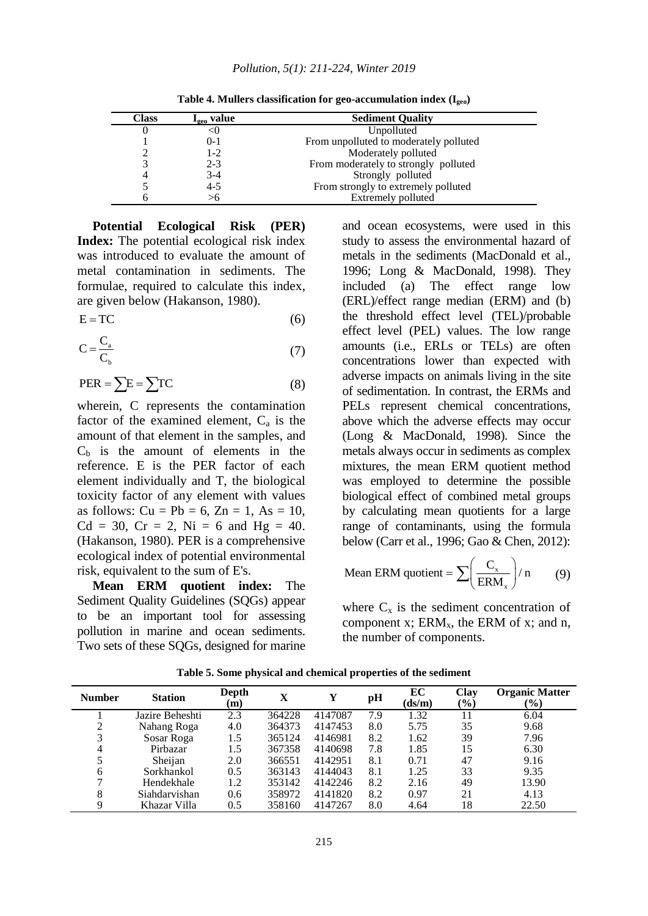| <b>Class</b> | $\mathbf{I}_{\text{geo}}$ value | <b>Sediment Quality</b>                |
|--------------|---------------------------------|----------------------------------------|
|              | <0                              | Unpolluted                             |
|              | $0-1$                           | From unpolluted to moderately polluted |
|              | $1-2$                           | Moderately polluted                    |
|              | $2 - 3$                         | From moderately to strongly polluted   |
|              | $3-4$                           | Strongly polluted                      |
|              | $4 - 5$                         | From strongly to extremely polluted    |
|              | >6                              | Extremely polluted                     |

**Table 4. Mullers classification for geo-accumulation index (Igeo)**

**Potential Ecological Risk (PER) Index:** The potential ecological risk index was introduced to evaluate the amount of metal contamination in sediments. The formulae, required to calculate this index, are given below (Hakanson, 1980).

$$
E = TC
$$
 (6)

$$
C = \frac{C_a}{C_b} \tag{7}
$$

$$
PER = \sum E = \sum TC
$$
 (8)

wherein, C represents the contamination factor of the examined element,  $C_a$  is the amount of that element in the samples, and  $C_b$  is the amount of elements in the reference. E is the PER factor of each element individually and T, the biological toxicity factor of any element with values as follows:  $Cu = Pb = 6$ ,  $Zn = 1$ ,  $As = 10$ ,  $Cd = 30$ ,  $Cr = 2$ ,  $Ni = 6$  and  $Hg = 40$ . (Hakanson, 1980). PER is a comprehensive ecological index of potential environmental risk, equivalent to the sum of E's.

**Mean ERM quotient index:** The Sediment Quality Guidelines (SQGs) appear to be an important tool for assessing pollution in marine and ocean sediments. Two sets of these SQGs, designed for marine and ocean ecosystems, were used in this study to assess the environmental hazard of metals in the sediments (MacDonald et al., 1996; Long & MacDonald, 1998). They included (a) The effect range low (ERL)/effect range median (ERM) and (b) the threshold effect level (TEL)/probable effect level (PEL) values. The low range amounts (i.e., ERLs or TELs) are often concentrations lower than expected with adverse impacts on animals living in the site of sedimentation. In contrast, the ERMs and PELs represent chemical concentrations, above which the adverse effects may occur (Long & MacDonald, 1998). Since the metals always occur in sediments as complex mixtures, the mean ERM quotient method was employed to determine the possible biological effect of combined metal groups by calculating mean quotients for a large range of contaminants, using the formula below (Carr et al., 1996; Gao & Chen, 2012):

Mean ERM quotient = 
$$
\sum \left( \frac{C_x}{ERM_x} \right) / n
$$
 (9)

where  $C_x$  is the sediment concentration of component x;  $ERM<sub>x</sub>$ , the ERM of x; and n, the number of components.

| <b>Number</b> | <b>Station</b>  | Depth<br>$\mathbf{m}$ | X      |         | pH  | EC<br>(ds/m) | Clay<br>$(\%)$ | <b>Organic Matter</b><br>$(\%)$ |
|---------------|-----------------|-----------------------|--------|---------|-----|--------------|----------------|---------------------------------|
|               | Jazire Beheshti | 2.3                   | 364228 | 4147087 | 7.9 | 1.32         | 11             | 6.04                            |
| 2             | Nahang Roga     | 4.0                   | 364373 | 4147453 | 8.0 | 5.75         | 35             | 9.68                            |
| 3             | Sosar Roga      | 1.5                   | 365124 | 4146981 | 8.2 | 1.62         | 39             | 7.96                            |
| 4             | Pirbazar        | 1.5                   | 367358 | 4140698 | 7.8 | 1.85         | 15             | 6.30                            |
|               | Sheijan         | 2.0                   | 366551 | 4142951 | 8.1 | 0.71         | 47             | 9.16                            |
| 6             | Sorkhankol      | 0.5                   | 363143 | 4144043 | 8.1 | 1.25         | 33             | 9.35                            |
| 7             | Hendekhale      | 1.2                   | 353142 | 4142246 | 8.2 | 2.16         | 49             | 13.90                           |
| 8             | Siahdarvishan   | 0.6                   | 358972 | 4141820 | 8.2 | 0.97         | 21             | 4.13                            |
| Q             | Khazar Villa    | 0.5                   | 358160 | 4147267 | 8.0 | 4.64         | 18             | 22.50                           |

**Table 5. Some physical and chemical properties of the sediment**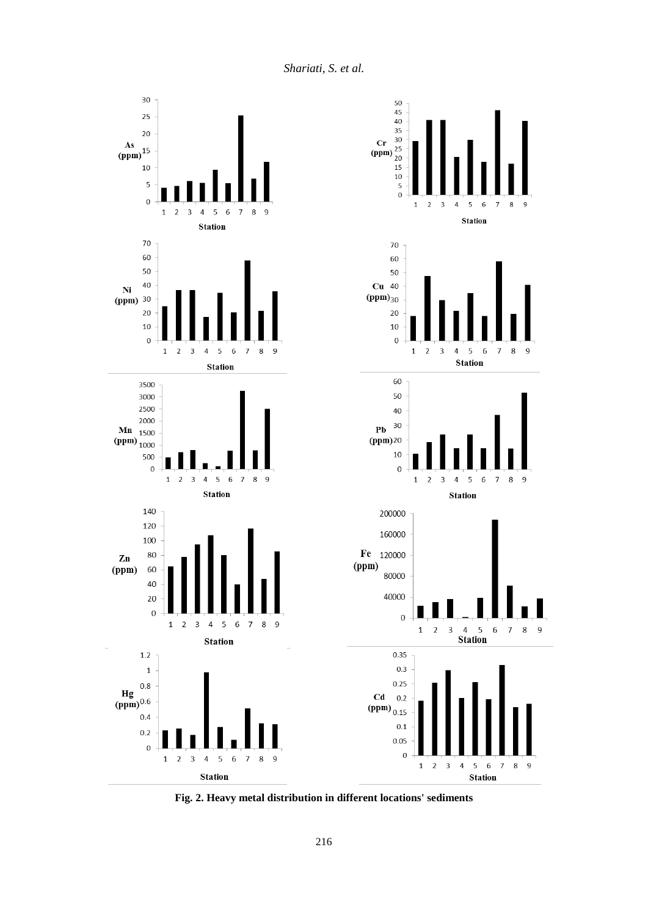*Shariati, S. et al.*



**Fig. 2. Heavy metal distribution in different locations' sediments**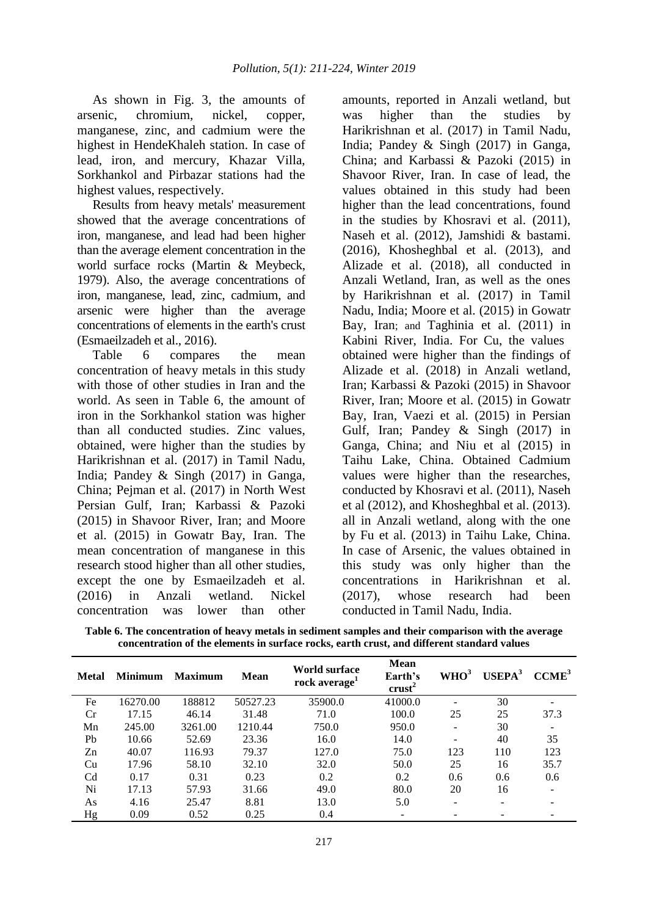As shown in Fig. 3, the amounts of arsenic, chromium, nickel, copper, manganese, zinc, and cadmium were the highest in HendeKhaleh station. In case of lead, iron, and mercury, Khazar Villa, Sorkhankol and Pirbazar stations had the highest values, respectively.

Results from heavy metals' measurement showed that the average concentrations of iron, manganese, and lead had been higher than the average element concentration in the world surface rocks (Martin & Meybeck, 1979). Also, the average concentrations of iron, manganese, lead, zinc, cadmium, and arsenic were higher than the average concentrations of elements in the earth's crust (Esmaeilzadeh et al., 2016).

Table 6 compares the mean concentration of heavy metals in this study with those of other studies in Iran and the world. As seen in Table 6, the amount of iron in the Sorkhankol station was higher than all conducted studies. Zinc values, obtained, were higher than the studies by Harikrishnan et al. (2017) in Tamil Nadu, India; Pandey & Singh (2017) in Ganga, China; Pejman et al. (2017) in North West Persian Gulf, Iran; Karbassi & Pazoki (2015) in Shavoor River, Iran; and Moore et al. (2015) in Gowatr Bay, Iran. The mean concentration of manganese in this research stood higher than all other studies, except the one by Esmaeilzadeh et al. (2016) in Anzali wetland. Nickel concentration was lower than other amounts, reported in Anzali wetland, but was higher than the studies by Harikrishnan et al. (2017) in Tamil Nadu, India; Pandey & Singh (2017) in Ganga, China; and Karbassi & Pazoki (2015) in Shavoor River, Iran. In case of lead, the values obtained in this study had been higher than the lead concentrations, found in the studies by Khosravi et al. (2011), Naseh et al. (2012), Jamshidi & bastami. (2016), Khosheghbal et al. (2013), and Alizade et al. (2018), all conducted in Anzali Wetland, Iran, as well as the ones by Harikrishnan et al. (2017) in Tamil Nadu, India; Moore et al. (2015) in Gowatr Bay, Iran; and Taghinia et al. (2011) in Kabini River, India. For Cu, the values obtained were higher than the findings of Alizade et al. (2018) in Anzali wetland, Iran; Karbassi & Pazoki (2015) in Shavoor River, Iran; Moore et al. (2015) in Gowatr Bay, Iran, Vaezi et al. (2015) in Persian Gulf, Iran; Pandey & Singh (2017) in Ganga, China; and Niu et al (2015) in Taihu Lake, China. Obtained Cadmium values were higher than the researches, conducted by Khosravi et al. (2011), Naseh et al (2012), and Khosheghbal et al. (2013). all in Anzali wetland, along with the one by Fu et al. (2013) in Taihu Lake, China. In case of Arsenic, the values obtained in this study was only higher than the concentrations in Harikrishnan et al. (2017), whose research had been conducted in Tamil Nadu, India.

**Table 6. The concentration of heavy metals in sediment samples and their comparison with the average concentration of the elements in surface rocks, earth crust, and different standard values**

| Metal | <b>Minimum</b> | <b>Maximum</b> | Mean     | <b>World surface</b><br>rock average <sup>1</sup> | <b>Mean</b><br>Earth's<br>crust <sup>2</sup> | WHO <sup>3</sup> | $USEPA3$ | CCME <sup>3</sup> |
|-------|----------------|----------------|----------|---------------------------------------------------|----------------------------------------------|------------------|----------|-------------------|
| Fe    | 16270.00       | 188812         | 50527.23 | 35900.0                                           | 41000.0                                      |                  | 30       |                   |
| Cr    | 17.15          | 46.14          | 31.48    | 71.0                                              | 100.0                                        | 25               | 25       | 37.3              |
| Mn    | 245.00         | 3261.00        | 1210.44  | 750.0                                             | 950.0                                        |                  | 30       |                   |
| Pb    | 10.66          | 52.69          | 23.36    | 16.0                                              | 14.0                                         |                  | 40       | 35                |
| Zn    | 40.07          | 116.93         | 79.37    | 127.0                                             | 75.0                                         | 123              | 110      | 123               |
| Cu    | 17.96          | 58.10          | 32.10    | 32.0                                              | 50.0                                         | 25               | 16       | 35.7              |
| Cd    | 0.17           | 0.31           | 0.23     | 0.2                                               | 0.2                                          | 0.6              | 0.6      | 0.6               |
| Ni    | 17.13          | 57.93          | 31.66    | 49.0                                              | 80.0                                         | 20               | 16       |                   |
| As    | 4.16           | 25.47          | 8.81     | 13.0                                              | 5.0                                          |                  |          |                   |
| Hg    | 0.09           | 0.52           | 0.25     | 0.4                                               |                                              |                  |          |                   |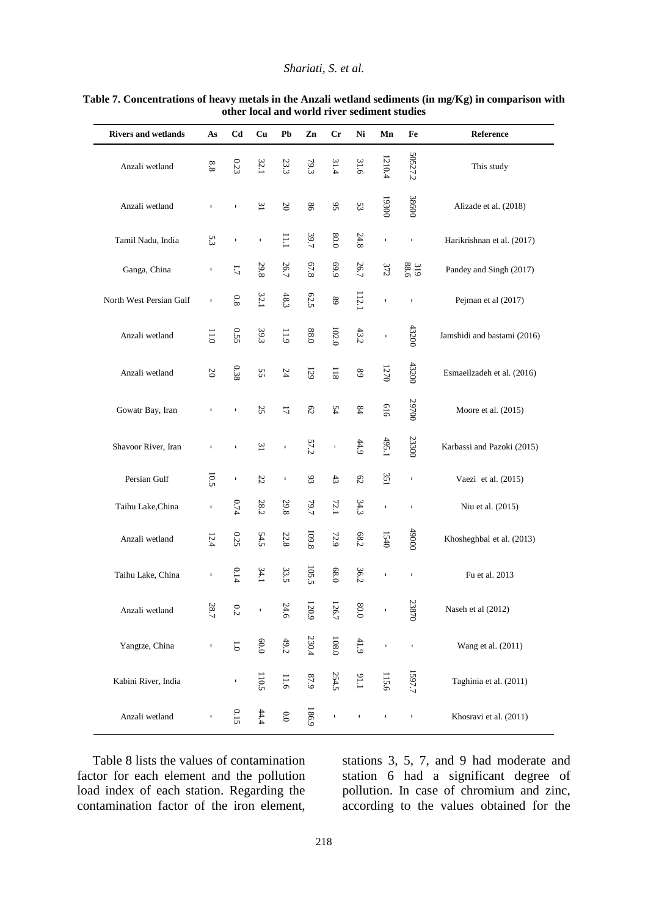### *Shariati, S. et al.*

| <b>Rivers and wetlands</b> | As           | C <sub>d</sub> | Cu                   | P <sub>b</sub> | $\mathbf{Zn}$  | Cr             | Ni                  | Mn           | Fe             | Reference                   |
|----------------------------|--------------|----------------|----------------------|----------------|----------------|----------------|---------------------|--------------|----------------|-----------------------------|
| Anzali wetland             | $8.8\,$      | $0.23\,$       | 32.1                 | 23.3           | 79.3           | 31.4           | 31.6                | 1210.4       | 50527.2        | This study                  |
| Anzali wetland             | $\mathbf{I}$ | $\mathbf{I}$   | 31                   | $20\,$         | $98\,$         | $95\,$         | 53                  | 19300        | 38600          | Alizade et al. (2018)       |
| Tamil Nadu, India          | 5.3          | $\blacksquare$ | $\mathbf I$          | 11.1           | 39.7           | $0.08\,$       | 24.8                | $\mathbf I$  | $\mathbf I$    | Harikrishnan et al. (2017)  |
| Ganga, China               | т.           | $\overline{L}$ | 29.8                 | 26.7           | 67.8           | 6'69           | 26.7                | 372          | 319<br>88.6    | Pandey and Singh (2017)     |
| North West Persian Gulf    | $\mathbf I$  | $0.8\,$        | 32.1                 | $48.3\,$       | 62.5           | $\sqrt{68}$    | $112.1\,$           | $\mathbf I$  | J,             | Pejman et al (2017)         |
| Anzali wetland             | $0.11$       | 0.55           | 39.3                 | 11.9           | $0.88\,$       | $102.0\,$      | 43.2                | $\mathbf{I}$ | 43200          | Jamshidi and bastami (2016) |
| Anzali wetland             | $20\,$       | $0.38\,$       | SS.                  | 24             | $129\,$        | $118\,$        | $\sqrt{8}$          | 1270         | 43200          | Esmaeilzadeh et al. (2016)  |
| Gowatr Bay, Iran           | т.           | $\blacksquare$ | 25                   | 17             | $\mathbb{S}^2$ | 54             | $\sqrt{8}$          | 919          | 29700          | Moore et al. (2015)         |
| Shavoor River, Iran        |              |                | $\tilde{\mathbf{z}}$ | $\mathbf I$    | 57.2           | $\blacksquare$ | $44.9$              | 495.1        | 23300          | Karbassi and Pazoki (2015)  |
| Persian Gulf               | 10.5         | $\mathbf I$    | $\sqrt{2}$           | $\blacksquare$ | 93             | $43\,$         | $\mathbb{S}^2$      | 351          | $\blacksquare$ | Vaezi et al. (2015)         |
| Taihu Lake, China          | $\mathbf{I}$ | 0.74           | 28.2                 | 29.8           | 19.7           | 72.1           | 34.3                | $\mathbf I$  | J,             | Niu et al. (2015)           |
| Anzali wetland             | 12.4         | 0.25           | 54.5                 | $22.8\,$       | 109.8          | 72.9           | $68.2\,$            | 1540         | 0006#          | Khosheghbal et al. (2013)   |
| Taihu Lake, China          | $\mathbf I$  | 0.14           | 34.1                 | 33.5           | 105.5          | 68.0           | 36.2                | $\mathbf I$  | $\mathbf I$    | Fu et al. 2013              |
| Anzali wetland             | Ñ<br>8.7     | $^{0.2}$       |                      | Ņ<br>4.6       | 20.9           | 26.7           | ∞<br>$\overline{0}$ | $\mathbf I$  | 23870          | Naseh et al (2012)          |
| Yangtze, China             | $\mathbf{I}$ | $\overline{0}$ | 0.0                  | 49.2           | 230.4          | $108.0\,$      | $41.9\,$            | $\mathbf{r}$ | $\mathbf{r}$   | Wang et al. (2011)          |
| Kabini River, India        |              | л.             | 110.5                | 11.6           | $6\,7\,9$      | 254.5          | $1.19\,$            | 115.6        | 1597.7         | Taghinia et al. (2011)      |
| Anzali wetland             | ı            | 0.15           | 44.4                 | $0.0\,$        | 186.9          | $\mathbf{I}$   | $\mathbf{I}$        | $\mathbf I$  | $\mathbf{I}$   | Khosravi et al. (2011)      |

#### **Table 7. Concentrations of heavy metals in the Anzali wetland sediments (in mg/Kg) in comparison with other local and world river sediment studies**

Table 8 lists the values of contamination factor for each element and the pollution load index of each station. Regarding the contamination factor of the iron element, stations 3, 5, 7, and 9 had moderate and station 6 had a significant degree of pollution. In case of chromium and zinc, according to the values obtained for the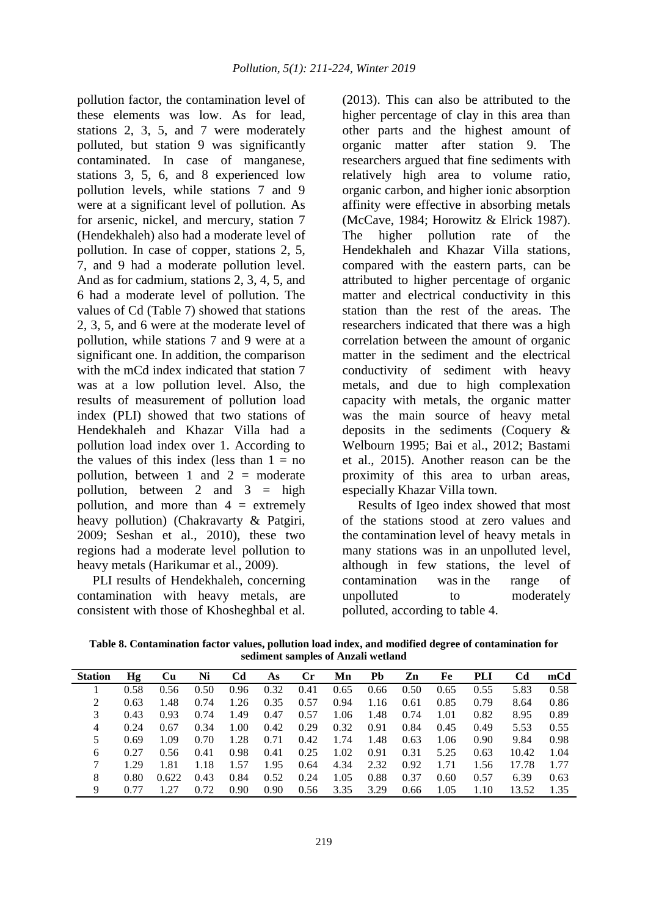pollution factor, the contamination level of these elements was low. As for lead, stations 2, 3, 5, and 7 were moderately polluted, but station 9 was significantly contaminated. In case of manganese, stations 3, 5, 6, and 8 experienced low pollution levels, while stations 7 and 9 were at a significant level of pollution. As for arsenic, nickel, and mercury, station 7 (Hendekhaleh) also had a moderate level of pollution. In case of copper, stations 2, 5, 7, and 9 had a moderate pollution level. And as for cadmium, stations 2, 3, 4, 5, and 6 had a moderate level of pollution. The values of Cd (Table 7) showed that stations 2, 3, 5, and 6 were at the moderate level of pollution, while stations 7 and 9 were at a significant one. In addition, the comparison with the mCd index indicated that station 7 was at a low pollution level. Also, the results of measurement of pollution load index (PLI) showed that two stations of Hendekhaleh and Khazar Villa had a pollution load index over 1. According to the values of this index (less than  $1 = no$ pollution, between 1 and  $2 =$  moderate pollution, between 2 and  $3 =$  high pollution, and more than  $4 =$  extremely heavy pollution) (Chakravarty & Patgiri, 2009; Seshan et al., 2010), these two regions had a moderate level pollution to heavy metals (Harikumar et al., 2009).

PLI results of Hendekhaleh, concerning contamination with heavy metals, are consistent with those of Khosheghbal et al.

(2013). This can also be attributed to the higher percentage of clay in this area than other parts and the highest amount of organic matter after station 9. The researchers argued that fine sediments with relatively high area to volume ratio, organic carbon, and higher ionic absorption affinity were effective in absorbing metals (McCave, 1984; Horowitz & Elrick 1987). The higher pollution rate of the Hendekhaleh and Khazar Villa stations, compared with the eastern parts, can be attributed to higher percentage of organic matter and electrical conductivity in this station than the rest of the areas. The researchers indicated that there was a high correlation between the amount of organic matter in the sediment and the electrical conductivity of sediment with heavy metals, and due to high complexation capacity with metals, the organic matter was the main source of heavy metal deposits in the sediments (Coquery & Welbourn 1995; Bai et al., 2012; Bastami et al., 2015). Another reason can be the proximity of this area to urban areas, especially Khazar Villa town.

Results of Igeo index showed that most of the stations stood at zero values and the contamination level of heavy metals in many stations was in an unpolluted level, although in few stations, the level of contamination was in the range of unpolluted to moderately polluted, according to table 4.

**Table 8. Contamination factor values, pollution load index, and modified degree of contamination for sediment samples of Anzali wetland**

| <b>Station</b> | Hg   | Cu    | Ni   | Cd   | As   | <b>Cr</b> | Mn   | Pb   | Zn   | Fe   | PLI  | Cd    | mCd  |
|----------------|------|-------|------|------|------|-----------|------|------|------|------|------|-------|------|
|                | 0.58 | 0.56  | 0.50 | 0.96 | 0.32 | 0.41      | 0.65 | 0.66 | 0.50 | 0.65 | 0.55 | 5.83  | 0.58 |
| 2              | 0.63 | .48   | 0.74 | 1.26 | 0.35 | 0.57      | 0.94 | 1.16 | 0.61 | 0.85 | 0.79 | 8.64  | 0.86 |
| 3              | 0.43 | 0.93  | 0.74 | 1.49 | 0.47 | 0.57      | 1.06 | 1.48 | 0.74 | 1.01 | 0.82 | 8.95  | 0.89 |
| 4              | 0.24 | 0.67  | 0.34 | 1.00 | 0.42 | 0.29      | 0.32 | 0.91 | 0.84 | 0.45 | 0.49 | 5.53  | 0.55 |
| 5              | 0.69 | 1.09  | 0.70 | 1.28 | 0.71 | 0.42      | 1.74 | 1.48 | 0.63 | 1.06 | 0.90 | 9.84  | 0.98 |
| 6              | 0.27 | 0.56  | 0.41 | 0.98 | 0.41 | 0.25      | 1.02 | 0.91 | 0.31 | 5.25 | 0.63 | 10.42 | 1.04 |
|                | 1.29 | 1.81  | 1.18 | 1.57 | 1.95 | 0.64      | 4.34 | 2.32 | 0.92 | 1.71 | 1.56 | 17.78 | 1.77 |
| 8              | 0.80 | 0.622 | 0.43 | 0.84 | 0.52 | 0.24      | 1.05 | 0.88 | 0.37 | 0.60 | 0.57 | 6.39  | 0.63 |
| 9              |      |       | 0.72 | 0.90 | 0.90 | 0.56      | 3.35 | 3.29 | 0.66 | 1.05 | 1.10 | 13.52 | 1.35 |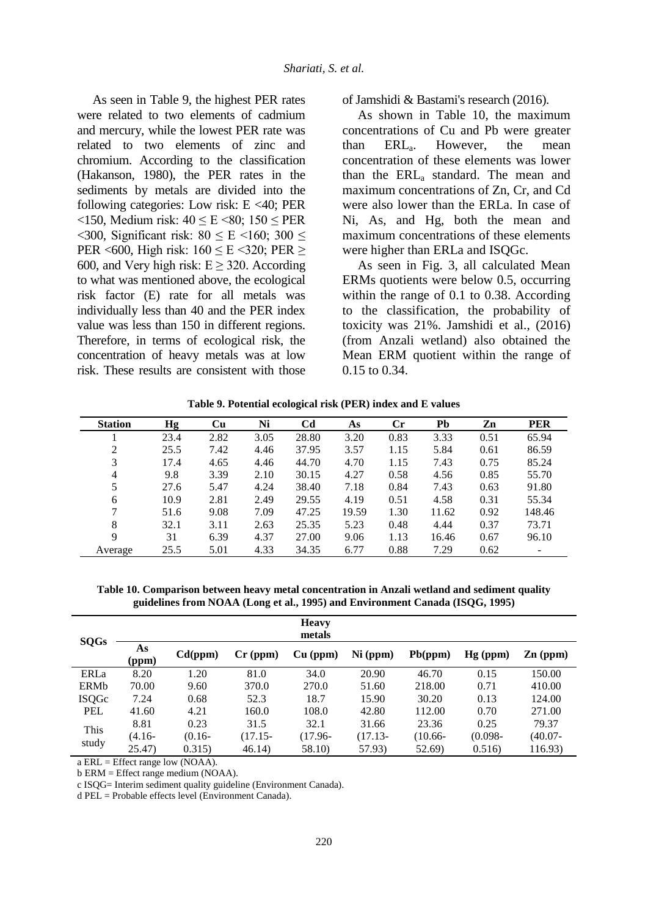As seen in Table 9, the highest PER rates were related to two elements of cadmium and mercury, while the lowest PER rate was related to two elements of zinc and chromium. According to the classification (Hakanson, 1980), the PER rates in the sediments by metals are divided into the following categories: Low risk:  $E < 40$ ; PER <150, Medium risk: 40 ≤ E <80; 150 ≤ PER  $\langle 300,$  Significant risk:  $80 \le E \langle 160, 300 \rangle$ PER <600, High risk:  $160 \le E \le 320$ ; PER  $\ge$ 600, and Very high risk:  $E \geq 320$ . According to what was mentioned above, the ecological risk factor (E) rate for all metals was individually less than 40 and the PER index value was less than 150 in different regions. Therefore, in terms of ecological risk, the concentration of heavy metals was at low risk. These results are consistent with those of Jamshidi & Bastami's research (2016).

As shown in Table 10, the maximum concentrations of Cu and Pb were greater than  $\text{ERL}_a$ . However, the mean concentration of these elements was lower than the ERL<sub>a</sub> standard. The mean and maximum concentrations of Zn, Cr, and Cd were also lower than the ERLa. In case of Ni, As, and Hg, both the mean and maximum concentrations of these elements were higher than ERLa and ISQGc.

As seen in Fig. 3, all calculated Mean ERMs quotients were below 0.5, occurring within the range of 0.1 to 0.38. According to the classification, the probability of toxicity was 21%. Jamshidi et al., (2016) (from Anzali wetland) also obtained the Mean ERM quotient within the range of 0.15 to 0.34.

|  | Table 9. Potential ecological risk (PER) index and E values |  |  |  |
|--|-------------------------------------------------------------|--|--|--|
|--|-------------------------------------------------------------|--|--|--|

| <b>Station</b> | Hg   | Cu   | Ni   | C <sub>d</sub> | As    | $\mathbf{C}$ r | Pb    | Zn   | <b>PER</b> |
|----------------|------|------|------|----------------|-------|----------------|-------|------|------------|
|                | 23.4 | 2.82 | 3.05 | 28.80          | 3.20  | 0.83           | 3.33  | 0.51 | 65.94      |
| 2              | 25.5 | 7.42 | 4.46 | 37.95          | 3.57  | 1.15           | 5.84  | 0.61 | 86.59      |
| 3              | 17.4 | 4.65 | 4.46 | 44.70          | 4.70  | 1.15           | 7.43  | 0.75 | 85.24      |
| 4              | 9.8  | 3.39 | 2.10 | 30.15          | 4.27  | 0.58           | 4.56  | 0.85 | 55.70      |
|                | 27.6 | 5.47 | 4.24 | 38.40          | 7.18  | 0.84           | 7.43  | 0.63 | 91.80      |
| 6              | 10.9 | 2.81 | 2.49 | 29.55          | 4.19  | 0.51           | 4.58  | 0.31 | 55.34      |
|                | 51.6 | 9.08 | 7.09 | 47.25          | 19.59 | 1.30           | 11.62 | 0.92 | 148.46     |
| 8              | 32.1 | 3.11 | 2.63 | 25.35          | 5.23  | 0.48           | 4.44  | 0.37 | 73.71      |
| 9              | 31   | 6.39 | 4.37 | 27.00          | 9.06  | 1.13           | 16.46 | 0.67 | 96.10      |
| Average        | 25.5 | 5.01 | 4.33 | 34.35          | 6.77  | 0.88           | 7.29  | 0.62 |            |

**Table 10. Comparison between heavy metal concentration in Anzali wetland and sediment quality guidelines from NOAA (Long et al., 1995) and Environment Canada (ISQG, 1995)**

|              |             |           |            | <b>Heavy</b><br>metals |            |            |            |            |
|--------------|-------------|-----------|------------|------------------------|------------|------------|------------|------------|
| <b>SQGs</b>  | As<br>(ppm) | Cd(ppm)   | $Cr$ (ppm) | $Cu$ (ppm)             | $Ni$ (ppm) | Pb(ppm)    | $Hg$ (ppm) | $Zn$ (ppm) |
| ERLa         | 8.20        | 1.20      | 81.0       | 34.0                   | 20.90      | 46.70      | 0.15       | 150.00     |
| <b>ERMb</b>  | 70.00       | 9.60      | 370.0      | 270.0                  | 51.60      | 218.00     | 0.71       | 410.00     |
| <b>ISQGc</b> | 7.24        | 0.68      | 52.3       | 18.7                   | 15.90      | 30.20      | 0.13       | 124.00     |
| <b>PEL</b>   | 41.60       | 4.21      | 160.0      | 108.0                  | 42.80      | 112.00     | 0.70       | 271.00     |
| This         | 8.81        | 0.23      | 31.5       | 32.1                   | 31.66      | 23.36      | 0.25       | 79.37      |
|              | (4.16-      | $(0.16 -$ | $(17.15 -$ | $(17.96 -$             | $(17.13 -$ | $(10.66 -$ | $(0.098 -$ | (40.07-    |
| study        | 25.47       | 0.315)    | 46.14)     | 58.10)                 | 57.93)     | 52.69)     | 0.516      | 116.93)    |

a ERL = Effect range low (NOAA).

b ERM = Effect range medium (NOAA).

c ISQG= Interim sediment quality guideline (Environment Canada).

d PEL = Probable effects level (Environment Canada).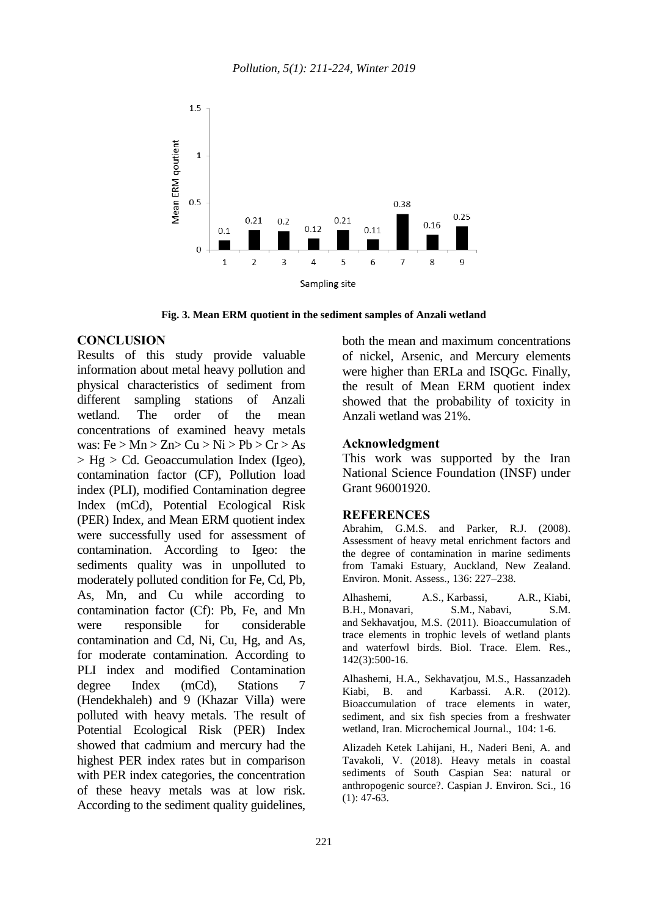

**Fig. 3. Mean ERM quotient in the sediment samples of Anzali wetland**

### **CONCLUSION**

Results of this study provide valuable information about metal heavy pollution and physical characteristics of sediment from different sampling stations of Anzali wetland. The order of the mean concentrations of examined heavy metals was:  $Fe > Mn > Zn > Cu > Ni > Pb > Cr > As$  $>$  Hg  $>$  Cd. Geoaccumulation Index (Igeo), contamination factor (CF), Pollution load index (PLI), modified Contamination degree Index (mCd), Potential Ecological Risk (PER) Index, and Mean ERM quotient index were successfully used for assessment of contamination. According to Igeo: the sediments quality was in unpolluted to moderately polluted condition for Fe, Cd, Pb, As, Mn, and Cu while according to contamination factor (Cf): Pb, Fe, and Mn were responsible for considerable contamination and Cd, Ni, Cu, Hg, and As, for moderate contamination. According to PLI index and modified Contamination degree Index (mCd), Stations 7 (Hendekhaleh) and 9 (Khazar Villa) were polluted with heavy metals. The result of Potential Ecological Risk (PER) Index showed that cadmium and mercury had the highest PER index rates but in comparison with PER index categories, the concentration of these heavy metals was at low risk. According to the sediment quality guidelines,

both the mean and maximum concentrations of nickel, Arsenic, and Mercury elements were higher than ERLa and ISQGc. Finally, the result of Mean ERM quotient index showed that the probability of toxicity in Anzali wetland was 21%.

#### **Acknowledgment**

This work was supported by the Iran National Science Foundation (INSF) under Grant 96001920.

#### **REFERENCES**

Abrahim, G.M.S. and Parker, R.J. (2008). Assessment of heavy metal enrichment factors and the degree of contamination in marine sediments from Tamaki Estuary, Auckland, New Zealand. Environ. Monit. Assess., 136: 227–238.

Alhashemi, A.S., Karbassi, A.R., Kiabi, B.H., Monavari, S.M., Nabavi, S.M. and Sekhavatjou, M.S. (2011). Bioaccumulation of trace elements in trophic levels of wetland plants and waterfowl birds. Biol. Trace. Elem. Res., 142(3):500-16.

Alhashemi, H.A., Sekhavatjou, M.S., Hassanzadeh Kiabi, B. and Karbassi. A.R. (2012). Bioaccumulation of trace elements in water, sediment, and six fish species from a freshwater wetland, Iran. Microchemical Journal., 104: 1-6.

Alizadeh Ketek Lahijani, H., Naderi Beni, A. and Tavakoli, V. (2018). Heavy metals in coastal sediments of South Caspian Sea: natural or anthropogenic source?. Caspian J. Environ. Sci., 16  $(1): 47-63.$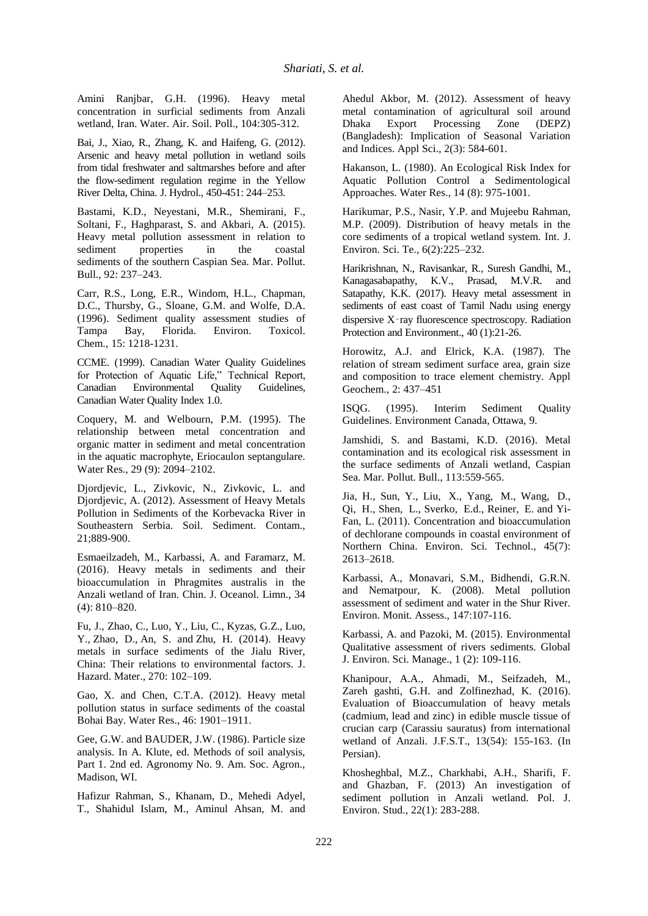Amini Ranjbar, G.H. (1996). Heavy metal concentration in surficial sediments from Anzali wetland, Iran. Water. Air. Soil. Poll., 104:305-312.

Bai, J., Xiao, R., Zhang, K. and Haifeng, G. (2012). Arsenic and heavy metal pollution in wetland soils from tidal freshwater and saltmarshes before and after the flow-sediment regulation regime in the Yellow River Delta, China. J. Hydrol., 450-451: 244–253.

Bastami, K.D., Neyestani, M.R., Shemirani, F., Soltani, F., Haghparast, S. and Akbari, A. (2015). Heavy metal pollution assessment in relation to sediment properties in the coastal sediments of the southern Caspian Sea. Mar. Pollut. Bull., 92: 237–243.

Carr, R.S., Long, E.R., Windom, H.L., Chapman, D.C., Thursby, G., Sloane, G.M. and Wolfe, D.A. (1996). Sediment quality assessment studies of Bay, Florida. Chem., 15: 1218-1231.

CCME. (1999). Canadian Water Quality Guidelines for Protection of Aquatic Life," Technical Report, Canadian Environmental Quality Guidelines, Canadian Water Quality Index 1.0.

Coquery, M. and Welbourn, P.M. (1995). The relationship between metal concentration and organic matter in sediment and metal concentration in the aquatic macrophyte, Eriocaulon septangulare. Water Res., 29 (9): 2094–2102.

Djordjevic, L., Zivkovic, N., Zivkovic, L. and Djordjevic, A. (2012). Assessment of Heavy Metals Pollution in Sediments of the Korbevacka River in Southeastern Serbia. Soil. Sediment. Contam., 21;889-900.

Esmaeilzadeh, M., Karbassi, A. and Faramarz, M. (2016). Heavy metals in sediments and their bioaccumulation in Phragmites australis in the Anzali wetland of Iran. Chin. J. Oceanol. Limn., 34 (4): 810–820.

Fu, J., Zhao, C., Luo, Y., Liu, C., Kyzas, G.Z., Luo, Y., Zhao, D., An, S. and Zhu, H. (2014). Heavy metals in surface sediments of the Jialu River, China: Their relations to environmental factors. J. Hazard. Mater., 270: 102–109.

Gao, X. and Chen, C.T.A. (2012). Heavy metal pollution status in surface sediments of the coastal Bohai Bay. Water Res., 46: 1901–1911.

Gee, G.W. and BAUDER, J.W. (1986). Particle size analysis. In A. Klute, ed. Methods of soil analysis, Part 1. 2nd ed. Agronomy No. 9. Am. Soc. Agron., Madison, WI.

Hafizur Rahman, S., Khanam, D., Mehedi Adyel, T., Shahidul Islam, M., Aminul Ahsan, M. and Ahedul Akbor, M. (2012). Assessment of heavy metal contamination of agricultural soil around<br>Dhaka Export Processing Zone (DEPZ) Processing (Bangladesh): Implication of Seasonal Variation and Indices. Appl Sci., 2(3): 584-601.

Hakanson, L. (1980). An Ecological Risk Index for Aquatic Pollution Control a Sedimentological Approaches. Water Res., 14 (8): 975-1001.

Harikumar, P.S., Nasir, Y.P. and Mujeebu Rahman, M.P. (2009). Distribution of heavy metals in the core sediments of a tropical wetland system. Int. J. Environ. Sci. Te., 6(2):225–232.

Harikrishnan, N., Ravisankar, R., Suresh Gandhi, M., Kanagasabapathy, K.V., Prasad, M.V.R. and Satapathy, K.K. (2017). Heavy metal assessment in sediments of east coast of Tamil Nadu using energy dispersive X‑ray fluorescence spectroscopy. Radiation Protection and Environment., 40 (1):21-26.

Horowitz, A.J. and Elrick, K.A. (1987). The relation of stream sediment surface area, grain size and composition to trace element chemistry. Appl Geochem., 2: 437–451

ISQG. (1995). Interim Sediment Quality Guidelines. Environment Canada, Ottawa, 9.

Jamshidi, S. and Bastami, K.D. (2016). Metal contamination and its ecological risk assessment in the surface sediments of Anzali wetland, Caspian Sea. Mar. Pollut. Bull., 113:559-565.

Jia, H., Sun, Y., Liu, X., Yang, M., Wang, D., Qi, H., Shen, L., Sverko, E.d., Reiner, E. and Yi-Fan, L. (2011). Concentration and bioaccumulation of dechlorane compounds in coastal environment of Northern China. Environ. Sci. Technol., 45(7): 2613–2618.

Karbassi, A., Monavari, S.M., Bidhendi, G.R.N. and Nematpour, K. (2008). Metal pollution assessment of sediment and water in the Shur River. Environ. Monit. Assess., 147:107-116.

Karbassi, A. and Pazoki, M. (2015). Environmental Qualitative assessment of rivers sediments. Global J. Environ. Sci. Manage., 1 (2): 109-116.

Khanipour, A.A., Ahmadi, M., Seifzadeh, M., Zareh gashti, G.H. and Zolfinezhad, K. (2016). Evaluation of Bioaccumulation of heavy metals (cadmium, lead and zinc) in edible muscle tissue of crucian carp (Carassiu sauratus) from international wetland of Anzali. J.F.S.T., 13(54): 155-163. (In Persian).

Khosheghbal, M.Z., Charkhabi, A.H., Sharifi, F. and Ghazban, F. (2013) An investigation of sediment pollution in Anzali wetland. Pol. J. Environ. Stud., 22(1): 283-288.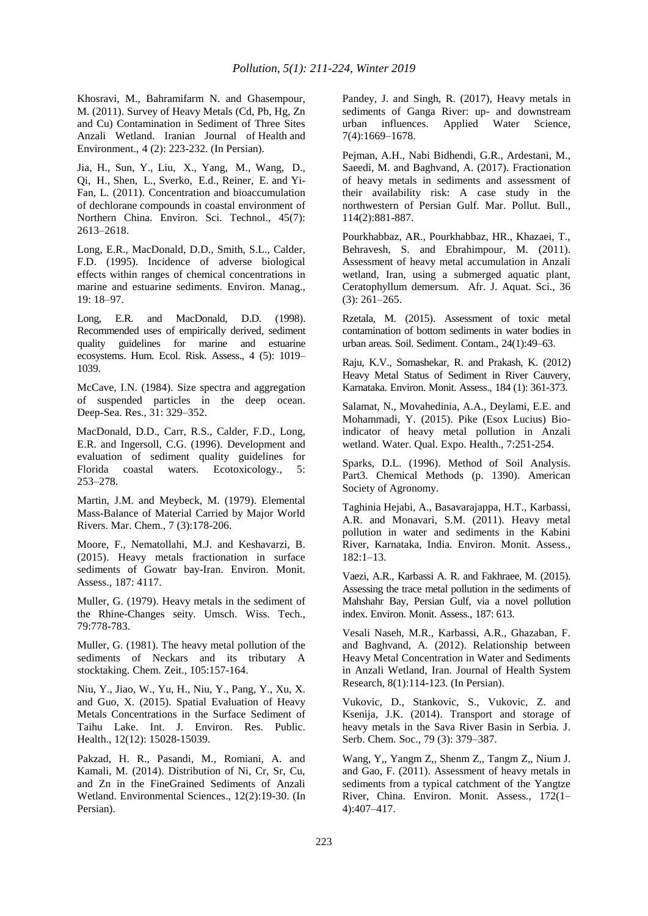Khosravi, M., Bahramifarm N. and Ghasempour, M. (2011). Survey of Heavy Metals (Cd, Pb, Hg, Zn and Cu) Contamination in Sediment of Three Sites Anzali Wetland. Iranian Journal of Health and Environment., 4 (2): 223-232. (In Persian).

Jia, H., Sun, Y., Liu, X., Yang, M., Wang, D., Qi, H., Shen, L., Sverko, E.d., Reiner, E. and Yi-Fan, L. (2011). Concentration and bioaccumulation of dechlorane compounds in coastal environment of Northern China. Environ. Sci. Technol., 45(7): 2613–2618.

Long, E.R., MacDonald, D.D., Smith, S.L., Calder, F.D. (1995). Incidence of adverse biological effects within ranges of chemical concentrations in marine and estuarine sediments. Environ. Manag., 19: 18–97.

Long, E.R. and MacDonald, D.D. (1998). Recommended uses of empirically derived, sediment quality guidelines for marine and estuarine ecosystems. Hum. Ecol. Risk. Assess., 4 (5): 1019– 1039.

McCave, I.N. (1984). Size spectra and aggregation of suspended particles in the deep ocean. Deep-Sea. Res., 31: 329–352.

MacDonald, D.D., Carr, R.S., Calder, F.D., Long, E.R. and Ingersoll, C.G. (1996). Development and evaluation of sediment quality guidelines for Florida coastal waters. Ecotoxicology., 5: 253–278.

Martin, J.M. and Meybeck, M. (1979). Elemental Mass-Balance of Material Carried by Major World Rivers. Mar. Chem., 7 (3):178-206.

Moore, F., Nematollahi, M.J. and Keshavarzi, B. (2015). Heavy metals fractionation in surface sediments of Gowatr bay-Iran. Environ. Monit. Assess., 187: 4117.

Muller, G. (1979). Heavy metals in the sediment of the Rhine-Changes seity. Umsch. Wiss. Tech., 79:778-783.

Muller, G. (1981). The heavy metal pollution of the sediments of Neckars and its tributary A stocktaking. Chem. Zeit., 105:157-164.

Niu, Y., Jiao, W., Yu, H., Niu, Y., Pang, Y., Xu, X. and Guo, X. (2015). Spatial Evaluation of Heavy Metals Concentrations in the Surface Sediment of Taihu Lake. Int. J. Environ. Res. Public. Health., 12(12): 15028-15039.

Pakzad, H. R., Pasandi, M., Romiani, A. and Kamali, M. (2014). Distribution of Ni, Cr, Sr, Cu, and Zn in the FineGrained Sediments of Anzali Wetland. Environmental Sciences., 12(2):19-30. (In Persian).

Pandey, J. and Singh, R. (2017), Heavy metals in sediments of Ganga River: up- and downstream urban influences. Applied Water Science, 7(4):1669–1678.

Pejman, A.H., Nabi Bidhendi, G.R., Ardestani, M., Saeedi, M. and Baghvand, A. (2017). Fractionation of heavy metals in sediments and assessment of their availability risk: A case study in the northwestern of Persian Gulf. Mar. Pollut. Bull., 114(2):881-887.

Pourkhabbaz, AR., Pourkhabbaz, HR., Khazaei, T., Behravesh, S. and Ebrahimpour, M. (2011). Assessment of heavy metal accumulation in Anzali wetland, Iran, using a submerged aquatic plant, Ceratophyllum demersum. Afr. J. Aquat. Sci., 36 (3): 261–265.

Rzetala, M. (2015). Assessment of toxic metal contamination of bottom sediments in water bodies in urban areas. Soil. Sediment. Contam., 24(1):49–63.

Raju, K.V., Somashekar, R. and Prakash, K. (2012) Heavy Metal Status of Sediment in River Cauvery, Karnataka. Environ. Monit. Assess., 184 (1): 361-373.

Salamat, N., Movahedinia, A.A., Deylami, E.E. and Mohammadi, Y. (2015). Pike (Esox Lucius) Bioindicator of heavy metal pollution in Anzali wetland. Water. Qual. Expo. Health., 7:251-254.

Sparks, D.L. (1996). Method of Soil Analysis. Part3. Chemical Methods (p. 1390). American Society of Agronomy.

Taghinia Hejabi, A., Basavarajappa, H.T., Karbassi, A.R. and Monavari, S.M. (2011). Heavy metal pollution in water and sediments in the Kabini River, Karnataka, India. Environ. Monit. Assess., 182:1–13.

Vaezi, A.R., Karbassi A. R. and Fakhraee, M. (2015). Assessing the trace metal pollution in the sediments of Mahshahr Bay, Persian Gulf, via a novel pollution index. Environ. Monit. Assess., 187: 613.

Vesali Naseh, M.R., Karbassi, A.R., Ghazaban, F. and Baghvand, A. (2012). Relationship between Heavy Metal Concentration in Water and Sediments in Anzali Wetland, Iran. Journal of Health System Research, 8(1):114-123. (In Persian).

Vukovic, D., Stankovic, S., Vukovic, Z. and Ksenija, J.K. (2014). Transport and storage of heavy metals in the Sava River Basin in Serbia. J. Serb. Chem. Soc., 79 (3): 379–387.

Wang, Y,, Yangm Z,, Shenm Z,, Tangm Z,, Nium J. and Gao, F. (2011). Assessment of heavy metals in sediments from a typical catchment of the Yangtze River, China. Environ. Monit. Assess., 172(1– 4):407–417.